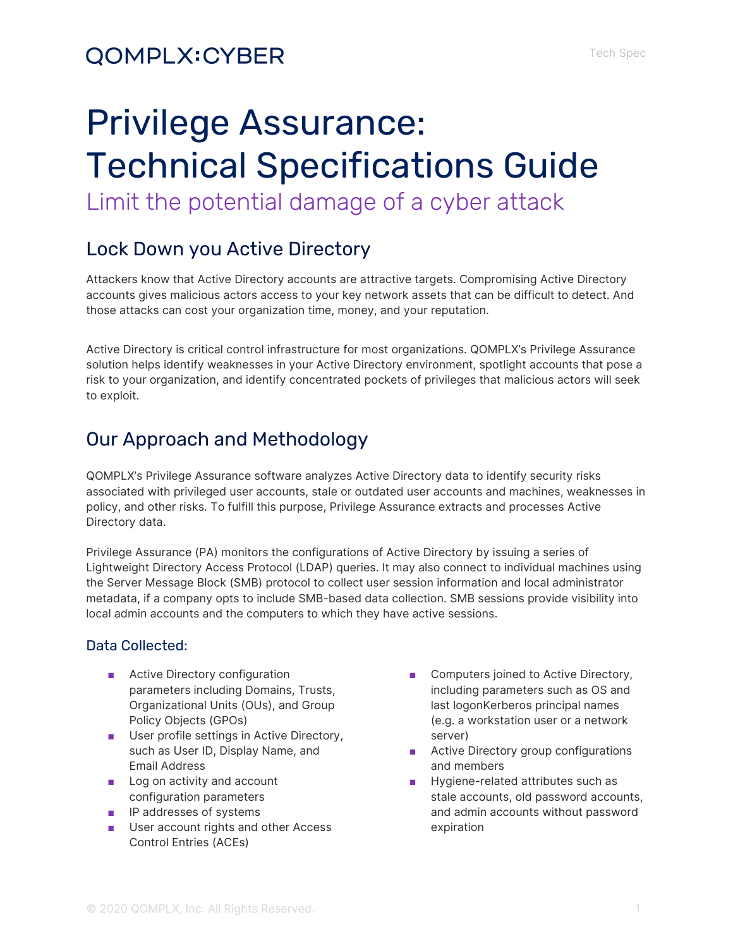## **QOMPLX:CYBER**

# Privilege Assurance: Technical Specifications Guide Limit the potential damage of a cyber attack

## Lock Down you Active Directory

Attackers know that Active Directory accounts are attractive targets. Compromising Active Directory accounts gives malicious actors access to your key network assets that can be difficult to detect. And those attacks can cost your organization time, money, and your reputation.

Active Directory is critical control infrastructure for most organizations. QOMPLX's Privilege Assurance solution helps identify weaknesses in your Active Directory environment, spotlight accounts that pose a risk to your organization, and identify concentrated pockets of privileges that malicious actors will seek to exploit.

## Our Approach and Methodology

QOMPLX's Privilege Assurance software analyzes Active Directory data to identify security risks associated with privileged user accounts, stale or outdated user accounts and machines, weaknesses in policy, and other risks. To fulfill this purpose, Privilege Assurance extracts and processes Active Directory data.

Privilege Assurance (PA) monitors the configurations of Active Directory by issuing a series of Lightweight Directory Access Protocol (LDAP) queries. It may also connect to individual machines using the Server Message Block (SMB) protocol to collect user session information and local administrator metadata, if a company opts to include SMB-based data collection. SMB sessions provide visibility into local admin accounts and the computers to which they have active sessions.

### Data Collected:

- Active Directory configuration parameters including Domains, Trusts, Organizational Units (OUs), and Group Policy Objects (GPOs)
- User profile settings in Active Directory, such as User ID, Display Name, and Email Address
- Log on activity and account configuration parameters
- IP addresses of systems
- User account rights and other Access Control Entries (ACEs)
- Computers joined to Active Directory, including parameters such as OS and last logonKerberos principal names (e.g. a workstation user or a network server)
- Active Directory group configurations and members
- Hygiene-related attributes such as stale accounts, old password accounts, and admin accounts without password expiration